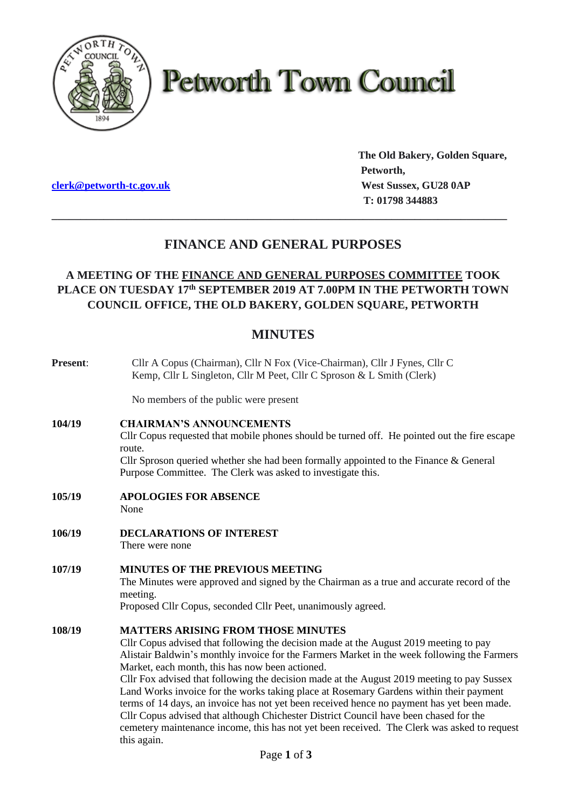

# **Petworth Town Council**

**clerk@petworth-tc.gov.uk** *West Sussex, GU28 0AP* 

**The Old Bakery, Golden Square, Petworth, T: 01798 344883**

# **FINANCE AND GENERAL PURPOSES**

**\_\_\_\_\_\_\_\_\_\_\_\_\_\_\_\_\_\_\_\_\_\_\_\_\_\_\_\_\_\_\_\_\_\_\_\_\_\_\_\_\_\_\_\_\_\_\_\_\_\_\_\_\_\_\_\_\_\_\_\_\_\_\_\_\_\_\_\_\_\_\_\_\_\_\_\_\_\_\_**

# **A MEETING OF THE FINANCE AND GENERAL PURPOSES COMMITTEE TOOK PLACE ON TUESDAY 17 th SEPTEMBER 2019 AT 7.00PM IN THE PETWORTH TOWN COUNCIL OFFICE, THE OLD BAKERY, GOLDEN SQUARE, PETWORTH**

# **MINUTES**

| Present: | Cllr A Copus (Chairman), Cllr N Fox (Vice-Chairman), Cllr J Fynes, Cllr C<br>Kemp, Cllr L Singleton, Cllr M Peet, Cllr C Sproson & L Smith (Clerk)                                                                                                                                                                                                                                                                                                                                                                                                                                                                                                                                                                                                                                |
|----------|-----------------------------------------------------------------------------------------------------------------------------------------------------------------------------------------------------------------------------------------------------------------------------------------------------------------------------------------------------------------------------------------------------------------------------------------------------------------------------------------------------------------------------------------------------------------------------------------------------------------------------------------------------------------------------------------------------------------------------------------------------------------------------------|
|          | No members of the public were present                                                                                                                                                                                                                                                                                                                                                                                                                                                                                                                                                                                                                                                                                                                                             |
| 104/19   | <b>CHAIRMAN'S ANNOUNCEMENTS</b><br>Cllr Copus requested that mobile phones should be turned off. He pointed out the fire escape<br>route.<br>Cllr Sproson queried whether she had been formally appointed to the Finance & General<br>Purpose Committee. The Clerk was asked to investigate this.                                                                                                                                                                                                                                                                                                                                                                                                                                                                                 |
| 105/19   | <b>APOLOGIES FOR ABSENCE</b><br>None                                                                                                                                                                                                                                                                                                                                                                                                                                                                                                                                                                                                                                                                                                                                              |
| 106/19   | <b>DECLARATIONS OF INTEREST</b><br>There were none                                                                                                                                                                                                                                                                                                                                                                                                                                                                                                                                                                                                                                                                                                                                |
| 107/19   | <b>MINUTES OF THE PREVIOUS MEETING</b><br>The Minutes were approved and signed by the Chairman as a true and accurate record of the<br>meeting.<br>Proposed Cllr Copus, seconded Cllr Peet, unanimously agreed.                                                                                                                                                                                                                                                                                                                                                                                                                                                                                                                                                                   |
| 108/19   | <b>MATTERS ARISING FROM THOSE MINUTES</b><br>Cllr Copus advised that following the decision made at the August 2019 meeting to pay<br>Alistair Baldwin's monthly invoice for the Farmers Market in the week following the Farmers<br>Market, each month, this has now been actioned.<br>Cllr Fox advised that following the decision made at the August 2019 meeting to pay Sussex<br>Land Works invoice for the works taking place at Rosemary Gardens within their payment<br>terms of 14 days, an invoice has not yet been received hence no payment has yet been made.<br>Cllr Copus advised that although Chichester District Council have been chased for the<br>cemetery maintenance income, this has not yet been received. The Clerk was asked to request<br>this again. |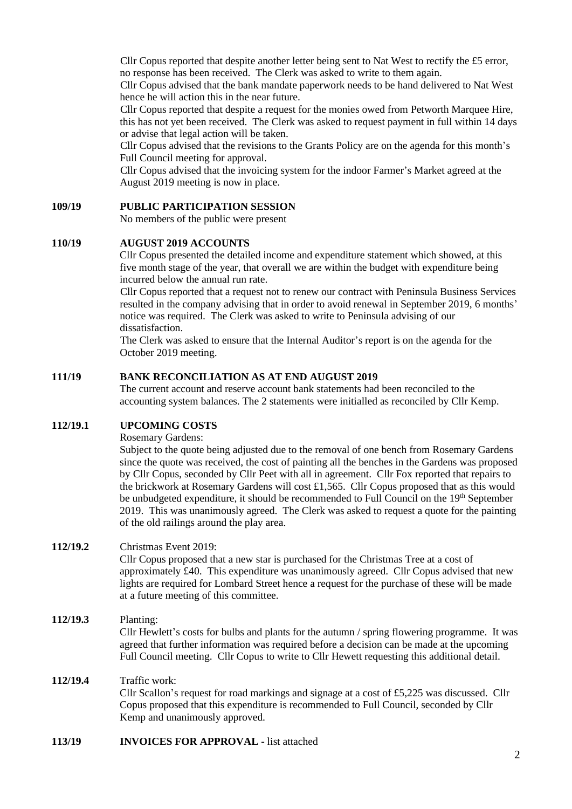Cllr Copus reported that despite another letter being sent to Nat West to rectify the £5 error, no response has been received. The Clerk was asked to write to them again.

Cllr Copus advised that the bank mandate paperwork needs to be hand delivered to Nat West hence he will action this in the near future.

Cllr Copus reported that despite a request for the monies owed from Petworth Marquee Hire, this has not yet been received. The Clerk was asked to request payment in full within 14 days or advise that legal action will be taken.

Cllr Copus advised that the revisions to the Grants Policy are on the agenda for this month's Full Council meeting for approval.

Cllr Copus advised that the invoicing system for the indoor Farmer's Market agreed at the August 2019 meeting is now in place.

### **109/19 PUBLIC PARTICIPATION SESSION**

No members of the public were present

#### **110/19 AUGUST 2019 ACCOUNTS**

Cllr Copus presented the detailed income and expenditure statement which showed, at this five month stage of the year, that overall we are within the budget with expenditure being incurred below the annual run rate.

Cllr Copus reported that a request not to renew our contract with Peninsula Business Services resulted in the company advising that in order to avoid renewal in September 2019, 6 months' notice was required. The Clerk was asked to write to Peninsula advising of our dissatisfaction.

The Clerk was asked to ensure that the Internal Auditor's report is on the agenda for the October 2019 meeting.

#### **111/19 BANK RECONCILIATION AS AT END AUGUST 2019**

The current account and reserve account bank statements had been reconciled to the accounting system balances. The 2 statements were initialled as reconciled by Cllr Kemp.

# **112/19.1 UPCOMING COSTS**

Rosemary Gardens:

Subject to the quote being adjusted due to the removal of one bench from Rosemary Gardens since the quote was received, the cost of painting all the benches in the Gardens was proposed by Cllr Copus, seconded by Cllr Peet with all in agreement. Cllr Fox reported that repairs to the brickwork at Rosemary Gardens will cost £1,565. Cllr Copus proposed that as this would be unbudgeted expenditure, it should be recommended to Full Council on the 19<sup>th</sup> September 2019. This was unanimously agreed. The Clerk was asked to request a quote for the painting of the old railings around the play area.

#### **112/19.2** Christmas Event 2019:

Cllr Copus proposed that a new star is purchased for the Christmas Tree at a cost of approximately £40. This expenditure was unanimously agreed. Cllr Copus advised that new lights are required for Lombard Street hence a request for the purchase of these will be made at a future meeting of this committee.

# **112/19.3** Planting: Cllr Hewlett's costs for bulbs and plants for the autumn / spring flowering programme. It was agreed that further information was required before a decision can be made at the upcoming Full Council meeting. Cllr Copus to write to Cllr Hewett requesting this additional detail.

# **112/19.4** Traffic work: Cllr Scallon's request for road markings and signage at a cost of £5,225 was discussed. Cllr Copus proposed that this expenditure is recommended to Full Council, seconded by Cllr Kemp and unanimously approved.

#### **113/19 INVOICES FOR APPROVAL -** list attached